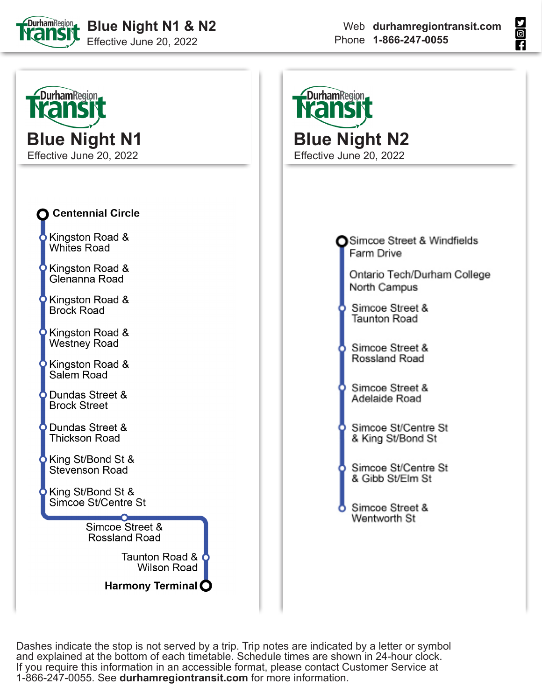





Dashes indicate the stop is not served by a trip. Trip notes are indicated by a letter or symbol and explained at the bottom of each timetable. Schedule times are shown in 24-hour clock. If you require this information in an accessible format, please contact Customer Service at 1-866-247-0055. See **durhamregiontransit.com** for more information.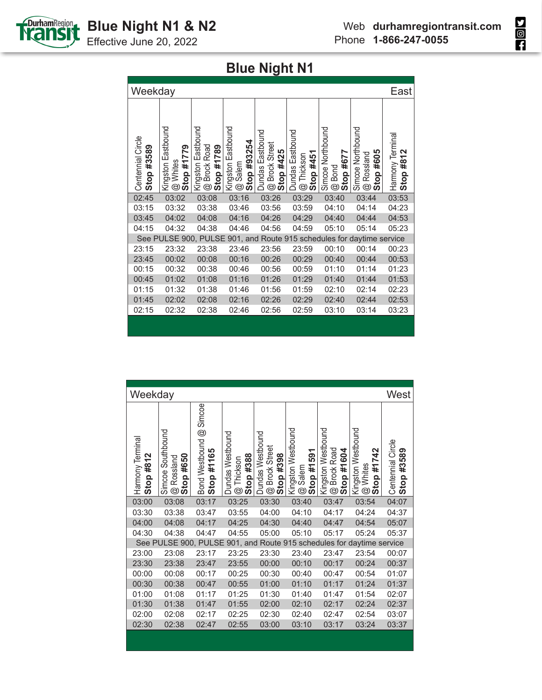

Effective June 20, 2022

| Weekday                         |                                                      |                                                                     |                                                              |                                                            |                                                             |                                                          |                                                                 | East                             |
|---------------------------------|------------------------------------------------------|---------------------------------------------------------------------|--------------------------------------------------------------|------------------------------------------------------------|-------------------------------------------------------------|----------------------------------------------------------|-----------------------------------------------------------------|----------------------------------|
| Centennial Circle<br>Stop #3589 | Kingston Eastbound<br>Stop #1779<br>Whites<br>.<br>ම | Eastbound<br><b>Brock Road</b><br>Stop #1789<br>Kingston<br>$\odot$ | Kingston Eastbound<br>Stop #93254<br>Salem<br>$^{\circledR}$ | Dundas Eastbound<br><b>Brock Street</b><br>Stop #425<br>G) | Dundas Eastbound<br>Stop #451<br>Thickson<br>$\circledcirc$ | Simcoe Northbound<br>Stop #677<br>Bond<br>$\circledcirc$ | Simcoe Northbound<br>#605<br>Rossland<br>Stop<br>$^{\circledR}$ | Harmony Terminal<br>#812<br>Stop |
| 02:45                           | 03:02                                                | 03:08                                                               | 03:16                                                        | 03:26                                                      | 03:29                                                       | 03:40                                                    | 03:44                                                           | 03:53                            |
| 03:15                           | 03:32                                                | 03:38                                                               | 03:46                                                        | 03:56                                                      | 03:59                                                       | 04:10                                                    | 04:14                                                           | 04:23                            |
| 03:45                           | 04:02                                                | 04:08                                                               | 04:16                                                        | 04:26                                                      | 04:29                                                       | 04:40                                                    | 04:44                                                           | 04:53                            |
| 04:15                           | 04:32                                                | 04:38                                                               | 04:46                                                        | 04:56                                                      | 04:59                                                       | 05:10                                                    | 05:14                                                           | 05:23                            |
|                                 | See PULSE 900, PULSE                                 |                                                                     |                                                              |                                                            |                                                             |                                                          | 901, and Route 915 schedules for daytime service                |                                  |
| 23:15                           | 23:32                                                | 23:38                                                               | 23:46                                                        | 23:56                                                      | 23:59                                                       | 00:10                                                    | 00:14                                                           | 00:23                            |
| 23:45                           | 00:02                                                | 00:08                                                               | 00:16                                                        | 00:26                                                      | 00:29                                                       | 00:40                                                    | 00:44                                                           | 00:53                            |
| 00:15                           | 00:32                                                | 00:38                                                               | 00:46                                                        | 00:56                                                      | 00:59                                                       | 01:10                                                    | 01:14                                                           | 01:23                            |
| 00:45                           | 01:02                                                | 01:08                                                               | 01:16                                                        | 01:26                                                      | 01:29                                                       | 01:40                                                    | 01:44                                                           | 01:53                            |
| 01:15                           | 01:32                                                | 01:38                                                               | 01:46                                                        | 01:56                                                      | 01:59                                                       | 02:10                                                    | 02:14                                                           | 02:23                            |
| 01:45                           | 02:02                                                | 02:08                                                               | 02:16                                                        | 02:26                                                      | 02:29                                                       | 02:40                                                    | 02:44                                                           | 02:53                            |
| 02:15                           | 02:32                                                | 02:38                                                               | 02:46                                                        | 02:56                                                      | 02:59                                                       | 03:10                                                    | 03:14                                                           | 03:23                            |
|                                 |                                                      |                                                                     |                                                              |                                                            |                                                             |                                                          |                                                                 |                                  |

| Weekday<br>West<br>Simcoe<br>Kingston Westbound<br>Kingston Westbound<br>Kingston Westbound<br>Bond Westbound @<br>Simcoe Southbound<br><b>Dundas Westbound</b><br>Dundas Westbound<br>Harmony Terminal<br>Centennial Circle<br><b>Brock Street</b><br><b>Brock Road</b><br>42<br>#3589<br>#1165<br>Stop #1604<br>Stop #1591<br>Stop #388<br>Stop #398<br>#812<br>#650<br>Rossland<br>Thickson<br>#17.<br>Whites<br>Salem<br>Stop<br>Stop<br>Stop<br>Stop<br>Stop<br>.<br>ම<br>.<br>ම<br>g<br>$^{\circledR}$<br>G)<br>$^{\circledR}$<br>03:00<br>03:08<br>03:17<br>03:25<br>03:30<br>03:40<br>03:47<br>03:54<br>04:07<br>03:38<br>03:30<br>03:47<br>03:55<br>04:00<br>04:10<br>04:17<br>04:24<br>04:37<br>04:00<br>04:08<br>04:17<br>04:25<br>04:30<br>04:40<br>04:47<br>04:54<br>05:07<br>04:30<br>04:38<br>04:47<br>04:55<br>05:00<br>05:10<br>05:17<br>05:24<br>05:37<br>901, and Route 915 schedules for daytime service<br>See PULSE 900, PULSE<br>23:30<br>23:54<br>23:00<br>23:08<br>23:17<br>23:25<br>23:40<br>23:47<br>00:07<br>00:24<br>00:37<br>23:30<br>23:38<br>23:47<br>23:55<br>00:00<br>00:10<br>00:17<br>00:25<br>00:30<br>00:40<br>00:47<br>00:54<br>01:07<br>00:00<br>00:08<br>00:17<br>00:30<br>00:38<br>00:55<br>01:10<br>01:17<br>01:24<br>01:37<br>00:47<br>01:00<br>01:00<br>01:08<br>01:25<br>01:30<br>01:54<br>02:07<br>01:17<br>01:40<br>01:47<br>01:30<br>01:55<br>02:24<br>02:37<br>01:38<br>01:47<br>02:00<br>02:10<br>02:17<br>02:00<br>02:08<br>02:25<br>02:30<br>02:40<br>02:47<br>02:54<br>03:07<br>02:17<br>03:37<br>02:30<br>02:38<br>02:47<br>02:55<br>03:00<br>03:10<br>03:17<br>03:24 |  |  |  |  |  |
|------------------------------------------------------------------------------------------------------------------------------------------------------------------------------------------------------------------------------------------------------------------------------------------------------------------------------------------------------------------------------------------------------------------------------------------------------------------------------------------------------------------------------------------------------------------------------------------------------------------------------------------------------------------------------------------------------------------------------------------------------------------------------------------------------------------------------------------------------------------------------------------------------------------------------------------------------------------------------------------------------------------------------------------------------------------------------------------------------------------------------------------------------------------------------------------------------------------------------------------------------------------------------------------------------------------------------------------------------------------------------------------------------------------------------------------------------------------------------------------------------------------------------------------------------------------------------------------------------------------------------|--|--|--|--|--|
|                                                                                                                                                                                                                                                                                                                                                                                                                                                                                                                                                                                                                                                                                                                                                                                                                                                                                                                                                                                                                                                                                                                                                                                                                                                                                                                                                                                                                                                                                                                                                                                                                              |  |  |  |  |  |
|                                                                                                                                                                                                                                                                                                                                                                                                                                                                                                                                                                                                                                                                                                                                                                                                                                                                                                                                                                                                                                                                                                                                                                                                                                                                                                                                                                                                                                                                                                                                                                                                                              |  |  |  |  |  |
|                                                                                                                                                                                                                                                                                                                                                                                                                                                                                                                                                                                                                                                                                                                                                                                                                                                                                                                                                                                                                                                                                                                                                                                                                                                                                                                                                                                                                                                                                                                                                                                                                              |  |  |  |  |  |
|                                                                                                                                                                                                                                                                                                                                                                                                                                                                                                                                                                                                                                                                                                                                                                                                                                                                                                                                                                                                                                                                                                                                                                                                                                                                                                                                                                                                                                                                                                                                                                                                                              |  |  |  |  |  |
|                                                                                                                                                                                                                                                                                                                                                                                                                                                                                                                                                                                                                                                                                                                                                                                                                                                                                                                                                                                                                                                                                                                                                                                                                                                                                                                                                                                                                                                                                                                                                                                                                              |  |  |  |  |  |
|                                                                                                                                                                                                                                                                                                                                                                                                                                                                                                                                                                                                                                                                                                                                                                                                                                                                                                                                                                                                                                                                                                                                                                                                                                                                                                                                                                                                                                                                                                                                                                                                                              |  |  |  |  |  |
|                                                                                                                                                                                                                                                                                                                                                                                                                                                                                                                                                                                                                                                                                                                                                                                                                                                                                                                                                                                                                                                                                                                                                                                                                                                                                                                                                                                                                                                                                                                                                                                                                              |  |  |  |  |  |
|                                                                                                                                                                                                                                                                                                                                                                                                                                                                                                                                                                                                                                                                                                                                                                                                                                                                                                                                                                                                                                                                                                                                                                                                                                                                                                                                                                                                                                                                                                                                                                                                                              |  |  |  |  |  |
|                                                                                                                                                                                                                                                                                                                                                                                                                                                                                                                                                                                                                                                                                                                                                                                                                                                                                                                                                                                                                                                                                                                                                                                                                                                                                                                                                                                                                                                                                                                                                                                                                              |  |  |  |  |  |
|                                                                                                                                                                                                                                                                                                                                                                                                                                                                                                                                                                                                                                                                                                                                                                                                                                                                                                                                                                                                                                                                                                                                                                                                                                                                                                                                                                                                                                                                                                                                                                                                                              |  |  |  |  |  |
|                                                                                                                                                                                                                                                                                                                                                                                                                                                                                                                                                                                                                                                                                                                                                                                                                                                                                                                                                                                                                                                                                                                                                                                                                                                                                                                                                                                                                                                                                                                                                                                                                              |  |  |  |  |  |
|                                                                                                                                                                                                                                                                                                                                                                                                                                                                                                                                                                                                                                                                                                                                                                                                                                                                                                                                                                                                                                                                                                                                                                                                                                                                                                                                                                                                                                                                                                                                                                                                                              |  |  |  |  |  |
|                                                                                                                                                                                                                                                                                                                                                                                                                                                                                                                                                                                                                                                                                                                                                                                                                                                                                                                                                                                                                                                                                                                                                                                                                                                                                                                                                                                                                                                                                                                                                                                                                              |  |  |  |  |  |
|                                                                                                                                                                                                                                                                                                                                                                                                                                                                                                                                                                                                                                                                                                                                                                                                                                                                                                                                                                                                                                                                                                                                                                                                                                                                                                                                                                                                                                                                                                                                                                                                                              |  |  |  |  |  |
|                                                                                                                                                                                                                                                                                                                                                                                                                                                                                                                                                                                                                                                                                                                                                                                                                                                                                                                                                                                                                                                                                                                                                                                                                                                                                                                                                                                                                                                                                                                                                                                                                              |  |  |  |  |  |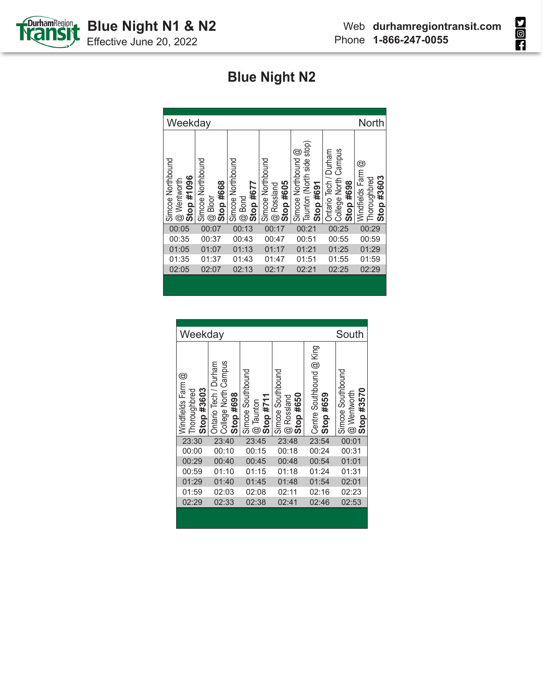



| Weekday                                        |                                                           |                                                            |                                                              |                                                               |                                                               | North                                               |
|------------------------------------------------|-----------------------------------------------------------|------------------------------------------------------------|--------------------------------------------------------------|---------------------------------------------------------------|---------------------------------------------------------------|-----------------------------------------------------|
| Simcoe Northbound<br>Stop #1096<br>@ Wentworth | Simcoe Northbound<br>Stop #668<br>Bloor<br>$^{\circledR}$ | Simcoe Northbound<br>Stop #677<br><b>Bond</b><br>$\dot{a}$ | Simcoe Northbound<br>Stop #605<br>Rossland<br>$\ddot{\circ}$ | Taunton (North side stop)<br>Simcoe Northbound @<br>Stop #691 | Campus<br>Ontario Tech / Durham<br>College North<br>Stop #698 | Windfields Farm @<br>#3603<br>Thoroughbred<br>Stop: |
| 00:05                                          | 00:07                                                     | 00:13                                                      | 00:17                                                        | 00:21                                                         | 00:25                                                         | 00:29                                               |
| 00:35                                          | 00:37                                                     | 00:43                                                      | 00:47                                                        | 00:51                                                         | 00:55                                                         | 00:59                                               |
| 01:05                                          | 01:07                                                     | 01:13                                                      | 01:17                                                        | 01:21                                                         | 01:25                                                         | 01:29                                               |
| 01:35                                          | 01:37                                                     | 01:43                                                      | 01:47                                                        | 01:51                                                         | 01:55                                                         | 01:59                                               |
| 02:05                                          | 02:07                                                     | 02:13                                                      | 02:17                                                        | 02:21                                                         | 02:25                                                         | 02:29                                               |
|                                                |                                                           |                                                            |                                                              |                                                               |                                                               |                                                     |

| Weekday                                         |                                                                | South                                                |                                                                 |                                       |                                                                                    |
|-------------------------------------------------|----------------------------------------------------------------|------------------------------------------------------|-----------------------------------------------------------------|---------------------------------------|------------------------------------------------------------------------------------|
| Windfields Farm @<br>Stop #3603<br>Thoroughbred | College North Campus<br>Ontario Tech / Durham<br>#698<br>Stop: | Southbound<br>#711<br>$@$ Taunton<br>Simcoe<br>Stop: | Simcoe Southbound<br>#650<br>Rossland<br>Stop<br>$\circledcirc$ | Centre Southbound @ King<br>Stop #659 | Simcoe Southbound<br>#3570<br>Wentworth<br>Stop<br>$\overset{\cdot}{\circledcirc}$ |
| 23:30                                           | 23:40                                                          | 23:45                                                | 23:48                                                           | 23:54                                 | 00:01                                                                              |
| 00:00                                           | 00:10                                                          | 00:15                                                | 00:18                                                           | 00:24                                 | 00:31                                                                              |
| 00:29                                           | 00:40                                                          | 00:45                                                | 00:48                                                           | 00:54                                 | 01:01                                                                              |
| 00:59                                           | 01:10                                                          | 01:15                                                | 01:18                                                           | 01:24                                 | 01:31                                                                              |
| 01:29                                           | 01:40                                                          | 01:45                                                | 01:48                                                           | 01:54                                 | 02:01                                                                              |
| 01:59                                           | 02:03                                                          | 02:08                                                | 02:11                                                           | 02:16                                 | 02:23                                                                              |
| 02:29                                           | 02:33                                                          | 02:38                                                | 02:41                                                           | 02:46                                 | 02:53                                                                              |
|                                                 |                                                                |                                                      |                                                                 |                                       |                                                                                    |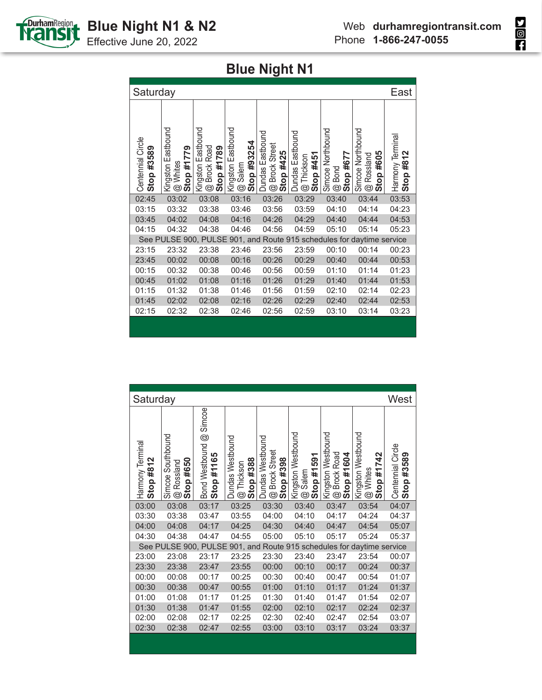

Effective June 20, 2022

| Saturday                        |                                              |                                                                            |                                                 |                                                                                  |                                                            |                                                          |                                                                 | East                             |
|---------------------------------|----------------------------------------------|----------------------------------------------------------------------------|-------------------------------------------------|----------------------------------------------------------------------------------|------------------------------------------------------------|----------------------------------------------------------|-----------------------------------------------------------------|----------------------------------|
| Centennial Circle<br>Stop #3589 | Kingston Eastbound<br>Stop #1779<br>@ Whites | Eastbound<br><b>Brock Road</b><br>Stop #1789<br>Kingston<br>$^{\circledR}$ | Kingston Eastbound<br>Stop #93254<br>Salem<br>© | <b>Dundas Eastbound</b><br><b>Brock Street</b><br>#425<br>Stop<br>$^{\circledR}$ | <b>Dundas Eastbound</b><br>Stop #451<br>Thickson<br>.<br>ල | Simcoe Northbound<br>Stop #677<br>Bond<br>$^{\circledR}$ | Simcoe Northbound<br>#605<br>Rossland<br>Stop<br>$\circledcirc$ | Harmony Terminal<br>#812<br>Stop |
| 02:45                           | 03:02                                        | 03:08                                                                      | 03:16                                           | 03:26                                                                            | 03:29                                                      | 03:40                                                    | 03:44                                                           | 03:53                            |
| 03:15                           | 03:32                                        | 03:38                                                                      | 03:46                                           | 03:56                                                                            | 03:59                                                      | 04:10                                                    | 04:14                                                           | 04:23                            |
| 03:45                           | 04:02                                        | 04:08                                                                      | 04:16                                           | 04:26                                                                            | 04:29                                                      | 04:40                                                    | 04:44                                                           | 04:53                            |
| 04:15                           | 04:32                                        | 04:38                                                                      | 04:46                                           | 04:56                                                                            | 04:59                                                      | 05:10                                                    | 05:14                                                           | 05:23                            |
|                                 | See PULSE 900, PULSE                         |                                                                            |                                                 | 901, and Route                                                                   |                                                            |                                                          | 915 schedules for daytime service                               |                                  |
| 23:15                           | 23:32                                        | 23:38                                                                      | 23:46                                           | 23:56                                                                            | 23:59                                                      | 00:10                                                    | 00:14                                                           | 00:23                            |
| 23:45                           | 00:02                                        | 00:08                                                                      | 00:16                                           | 00:26                                                                            | 00:29                                                      | 00:40                                                    | 00:44                                                           | 00:53                            |
| 00:15                           | 00:32                                        | 00:38                                                                      | 00:46                                           | 00:56                                                                            | 00:59                                                      | 01:10                                                    | 01:14                                                           | 01:23                            |
| 00:45                           | 01:02                                        | 01:08                                                                      | 01:16                                           | 01:26                                                                            | 01:29                                                      | 01:40                                                    | 01:44                                                           | 01:53                            |
| 01:15                           | 01:32                                        | 01:38                                                                      | 01:46                                           | 01:56                                                                            | 01:59                                                      | 02:10                                                    | 02:14                                                           | 02:23                            |
| 01:45                           | 02:02                                        | 02:08                                                                      | 02:16                                           | 02:26                                                                            | 02:29                                                      | 02:40                                                    | 02:44                                                           | 02:53                            |
| 02:15                           | 02:32                                        | 02:38                                                                      | 02:46                                           | 02:56                                                                            | 02:59                                                      | 03:10                                                    | 03:14                                                           | 03:23                            |
|                                 |                                              |                                                                            |                                                 |                                                                                  |                                                            |                                                          |                                                                 |                                  |

| Saturday                      |                                                              |                                                                    |                                                     |                                                 |                                                 |                                                                         |                                                                 | West                            |
|-------------------------------|--------------------------------------------------------------|--------------------------------------------------------------------|-----------------------------------------------------|-------------------------------------------------|-------------------------------------------------|-------------------------------------------------------------------------|-----------------------------------------------------------------|---------------------------------|
| Harmony Terminal<br>Stop #812 | Simcoe Southbound<br>Stop #650<br>Rossland<br>$^{\circledR}$ | Simcoe<br>$^{\circledR}$<br><b>Bond Westbound</b><br>#1165<br>Stop | Dundas Westbound<br>Stop #388<br>Thickson<br>.<br>ම | Dundas Westbound<br>@ Brock Street<br>Stop #398 | Kingston Westbound<br>Stop #1591<br>Salem<br>G) | Kingston Westbound<br><b>Brock Road</b><br>Stop #1604<br>$\overline{a}$ | Kingston Westbound<br>#1742<br>Whites<br>Stop<br>$\circledcirc$ | Centennial Circle<br>Stop #3589 |
| 03:00                         | 03:08                                                        | 03:17                                                              | 03:25                                               | 03:30                                           | 03:40                                           | 03:47                                                                   | 03:54                                                           | 04:07                           |
| 03:30                         | 03:38                                                        | 03:47                                                              | 03:55                                               | 04:00                                           | 04:10                                           | 04:17                                                                   | 04:24                                                           | 04:37                           |
| 04:00                         | 04:08                                                        | 04:17                                                              | 04:25                                               | 04:30                                           | 04:40                                           | 04:47                                                                   | 04:54                                                           | 05:07                           |
| 04:30                         | 04:38                                                        | 04:47                                                              | 04:55                                               | 05:00                                           | 05:10                                           | 05:17                                                                   | 05:24                                                           | 05:37                           |
| See                           | PULSE 900, PULSE                                             |                                                                    |                                                     |                                                 |                                                 |                                                                         | 901, and Route 915 schedules for daytime service                |                                 |
| 23:00                         | 23:08                                                        | 23:17                                                              | 23:25                                               | 23:30                                           | 23:40                                           | 23:47                                                                   | 23:54                                                           | 00:07                           |
| 23:30                         | 23:38                                                        | 23:47                                                              | 23:55                                               | 00:00                                           | 00:10                                           | 00:17                                                                   | 00:24                                                           | 00:37                           |
| 00:00                         | 00:08                                                        | 00:17                                                              | 00:25                                               | 00:30                                           | 00:40                                           | 00:47                                                                   | 00:54                                                           | 01:07                           |
| 00:30                         | 00:38                                                        | 00:47                                                              | 00:55                                               | 01:00                                           | 01:10                                           | 01:17                                                                   | 01:24                                                           | 01:37                           |
| 01:00                         | 01:08                                                        | 01:17                                                              | 01:25                                               | 01:30                                           | 01:40                                           | 01:47                                                                   | 01:54                                                           | 02:07                           |
| 01:30                         | 01:38                                                        | 01:47                                                              | 01:55                                               | 02:00                                           | 02:10                                           | 02:17                                                                   | 02:24                                                           | 02:37                           |
| 02:00                         | 02:08                                                        | 02:17                                                              | 02:25                                               | 02:30                                           | 02:40                                           | 02:47                                                                   | 02:54                                                           | 03:07                           |
| 02:30                         | 02:38                                                        | 02:47                                                              | 02:55                                               | 03:00                                           | 03:10                                           | 03:17                                                                   | 03:24                                                           | 03:37                           |
|                               |                                                              |                                                                    |                                                     |                                                 |                                                 |                                                                         |                                                                 |                                 |

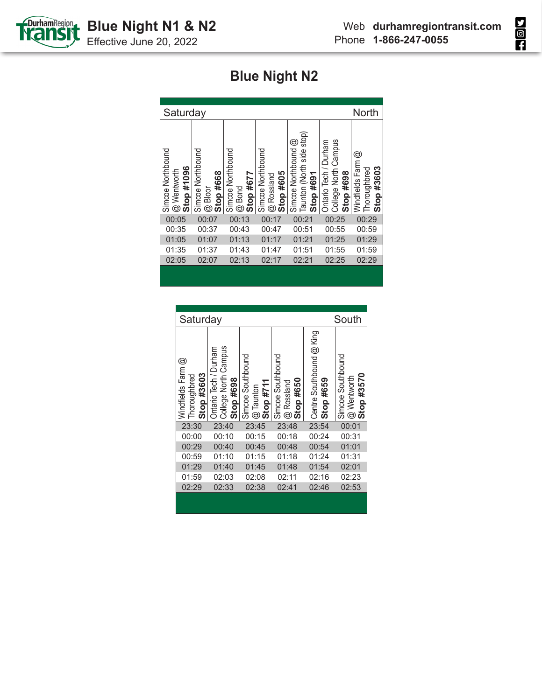



| Saturday                                                       |                                                           | <b>North</b>                                             |                                                              |                                                               |                                                            |                                                    |
|----------------------------------------------------------------|-----------------------------------------------------------|----------------------------------------------------------|--------------------------------------------------------------|---------------------------------------------------------------|------------------------------------------------------------|----------------------------------------------------|
| Simcoe Northbound<br>Stop #1096<br>Wentworth<br>$\ddot{\circ}$ | Simcoe Northbound<br>Stop #668<br>Bloor<br>$\circledcirc$ | Simcoe Northbound<br>Stop #677<br>Bond<br>$\ddot{\circ}$ | Simcoe Northbound<br>Stop #605<br>Rossland<br>$\ddot{\circ}$ | Taunton (North side stop)<br>Simcoe Northbound @<br>Stop #691 | College North Campus<br>Ontario Tech / Durham<br>Stop #698 | ©<br>Windfields Farm<br>Stop #3603<br>Thoroughbred |
| 00:05                                                          | 00:07                                                     | 00:13                                                    | 00:17                                                        | 00:21                                                         | 00:25                                                      | 00:29                                              |
| 00:35                                                          | 00:37                                                     | 00:43                                                    | 00:47                                                        | 00:51                                                         | 00:55                                                      | 00:59                                              |
| 01:05                                                          | 01:07                                                     | 01:13                                                    | 01:17                                                        | 01:21                                                         | 01:25                                                      | 01:29                                              |
| 01:35                                                          | 01:37                                                     | 01:43                                                    | 01:47                                                        | 01:51                                                         | 01:55                                                      | 01:59                                              |
| 02:05                                                          | 02:07                                                     | 02:13                                                    | 02:17                                                        | 02:21                                                         | 02:25                                                      | 02:29                                              |
|                                                                |                                                           |                                                          |                                                              |                                                               |                                                            |                                                    |

| Saturday                                        |                                                            |                                               |                                                              | South                                 |                                                        |
|-------------------------------------------------|------------------------------------------------------------|-----------------------------------------------|--------------------------------------------------------------|---------------------------------------|--------------------------------------------------------|
| Windfields Farm @<br>Stop #3603<br>Thoroughbred | College North Campus<br>Ontario Tech / Durham<br>Stop #698 | Simcoe Southbound<br>Stop $#711$<br>@ Taunton | Simcoe Southbound<br>Stop #650<br>Rossland<br>$\circledcirc$ | Centre Southbound @ King<br>Stop #659 | Simcoe Southbound<br>Stop #3570<br>Wentworth<br>.<br>ම |
| 23:30                                           | 23:40                                                      | 23:45                                         | 23:48                                                        | 23:54                                 | 00:01                                                  |
| 00:00                                           | 00:10                                                      | 00:15                                         | 00:18                                                        | 00:24                                 | 00:31                                                  |
| 00:29                                           | 00:40                                                      | 00:45                                         | 00:48                                                        | 00:54                                 | 01:01                                                  |
| 00:59                                           | 01:10                                                      | 01:15                                         | 01:18                                                        | 01:24                                 | 01:31                                                  |
| 01:29                                           | 01:40                                                      | 01:45                                         | 01:48                                                        | 01:54                                 | 02:01                                                  |
| 01:59                                           | 02:03                                                      | 02:08                                         | 02:11                                                        | 02:16                                 | 02:23                                                  |
| 02:29                                           | 02:33                                                      | 02:38                                         | 02:41                                                        | 02:46                                 | 02:53                                                  |
|                                                 |                                                            |                                               |                                                              |                                       |                                                        |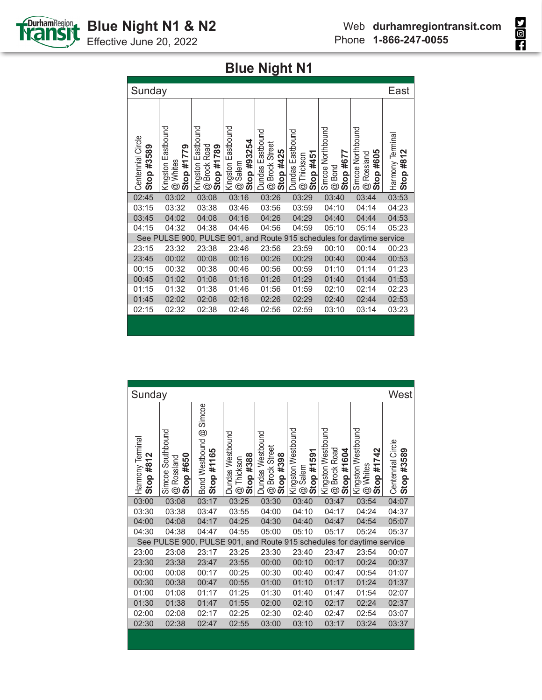

Effective June 20, 2022

| Sunday                             |                                              |                                                                            |                                                     |                                                                                  |                                                            |                                                          |                                                                 | East                             |
|------------------------------------|----------------------------------------------|----------------------------------------------------------------------------|-----------------------------------------------------|----------------------------------------------------------------------------------|------------------------------------------------------------|----------------------------------------------------------|-----------------------------------------------------------------|----------------------------------|
| Centennial Circle<br>#3589<br>Stop | Kingston Eastbound<br>Stop #1779<br>@ Whites | Eastbound<br><b>Brock Road</b><br>Stop #1789<br>Kingston<br>$\circledcirc$ | Kingston Eastbound<br>#93254<br>Salem<br>Stop<br>G) | <b>Dundas Eastbound</b><br><b>Brock Street</b><br>#425<br>Stop<br>$\circledcirc$ | <b>Dundas Eastbound</b><br>Stop #451<br>Thickson<br>.<br>ල | Simcoe Northbound<br>Stop #677<br>Bond<br>$\circledcirc$ | Simcoe Northbound<br>#605<br>Rossland<br>Stop<br>$\circledcirc$ | Harmony Terminal<br>#812<br>Stop |
| 02:45                              | 03:02                                        | 03:08                                                                      | 03:16                                               | 03:26                                                                            | 03:29                                                      | 03:40                                                    | 03:44                                                           | 03:53                            |
| 03:15                              | 03:32                                        | 03:38                                                                      | 03:46                                               | 03:56                                                                            | 03:59                                                      | 04:10                                                    | 04:14                                                           | 04:23                            |
| 03:45                              | 04:02                                        | 04:08                                                                      | 04:16                                               | 04:26                                                                            | 04:29                                                      | 04:40                                                    | 04:44                                                           | 04:53                            |
| 04:15                              | 04:32                                        | 04:38                                                                      | 04:46                                               | 04:56                                                                            | 04:59                                                      | 05:10                                                    | 05:14                                                           | 05:23                            |
|                                    | See PULSE 900, PULSE                         |                                                                            |                                                     |                                                                                  |                                                            |                                                          | 901, and Route 915 schedules for daytime service                |                                  |
| 23:15                              | 23:32                                        | 23:38                                                                      | 23:46                                               | 23:56                                                                            | 23:59                                                      | 00:10                                                    | 00:14                                                           | 00:23                            |
| 23:45                              | 00:02                                        | 00:08                                                                      | 00:16                                               | 00:26                                                                            | 00:29                                                      | 00:40                                                    | 00:44                                                           | 00:53                            |
| 00:15                              | 00:32                                        | 00:38                                                                      | 00:46                                               | 00:56                                                                            | 00:59                                                      | 01:10                                                    | 01:14                                                           | 01:23                            |
| 00:45                              | 01:02                                        | 01:08                                                                      | 01:16                                               | 01:26                                                                            | 01:29                                                      | 01:40                                                    | 01:44                                                           | 01:53                            |
| 01:15                              | 01:32                                        | 01:38                                                                      | 01:46                                               | 01:56                                                                            | 01:59                                                      | 02:10                                                    | 02:14                                                           | 02:23                            |
| 01:45                              | 02:02                                        | 02:08                                                                      | 02:16                                               | 02:26                                                                            | 02:29                                                      | 02:40                                                    | 02:44                                                           | 02:53                            |
| 02:15                              | 02:32                                        | 02:38                                                                      | 02:46                                               | 02:56                                                                            | 02:59                                                      | 03:10                                                    | 03:14                                                           | 03:23                            |
|                                    |                                              |                                                                            |                                                     |                                                                                  |                                                            |                                                          |                                                                 |                                  |

| Sunday                        |                                                                |                                             |                                             |                                                 |                                                             |                                                  |                                                              | West                            |
|-------------------------------|----------------------------------------------------------------|---------------------------------------------|---------------------------------------------|-------------------------------------------------|-------------------------------------------------------------|--------------------------------------------------|--------------------------------------------------------------|---------------------------------|
| Harmony Terminal<br>Stop #812 | Simcoe Southbound<br>Stop $#650$<br>Rossland<br>$^{\circledR}$ | Simcoe<br>Bond Westbound @<br>#1165<br>Stop | Dundas Westbound<br>Stop #388<br>@ Thickson | Dundas Westbound<br>@ Brock Street<br>Stop #398 | Kingston Westbound<br>Stop #1591<br>Salem<br>$^{\circledR}$ | Kingston Westbound<br>@ Brock Road<br>Stop #1604 | Kingston Westbound<br>#1742<br>@ Whites<br>Stop <sub>i</sub> | Centennial Circle<br>Stop #3589 |
| 03:00                         | 03:08                                                          | 03:17                                       | 03:25                                       | 03:30                                           | 03:40                                                       | 03:47                                            | 03:54                                                        | 04:07                           |
| 03:30                         | 03:38                                                          | 03:47                                       | 03:55                                       | 04:00                                           | 04:10                                                       | 04:17                                            | 04:24                                                        | 04:37                           |
| 04:00                         | 04:08                                                          | 04:17                                       | 04:25                                       | 04:30                                           | 04:40                                                       | 04:47                                            | 04:54                                                        | 05:07                           |
| 04:30                         | 04:38                                                          | 04:47                                       | 04:55                                       | 05:00                                           | 05:10                                                       | 05:17                                            | 05:24                                                        | 05:37                           |
| See                           | PULSE 900, PULSE                                               |                                             |                                             |                                                 |                                                             |                                                  | 901, and Route 915 schedules for daytime service             |                                 |
| 23:00                         | 23:08                                                          | 23:17                                       | 23:25                                       | 23:30                                           | 23:40                                                       | 23:47                                            | 23:54                                                        | 00:07                           |
| 23:30                         | 23:38                                                          | 23:47                                       | 23:55                                       | 00:00                                           | 00:10                                                       | 00:17                                            | 00:24                                                        | 00:37                           |
| 00:00                         | 00:08                                                          | 00:17                                       | 00:25                                       | 00:30                                           | 00:40                                                       | 00:47                                            | 00:54                                                        | 01:07                           |
| 00:30                         | 00:38                                                          | 00:47                                       | 00:55                                       | 01:00                                           | 01:10                                                       | 01:17                                            | 01:24                                                        | 01:37                           |
| 01:00                         | 01:08                                                          | 01:17                                       | 01:25                                       | 01:30                                           | 01:40                                                       | 01:47                                            | 01:54                                                        | 02:07                           |
| 01:30                         | 01:38                                                          | 01:47                                       | 01:55                                       | 02:00                                           | 02:10                                                       | 02:17                                            | 02:24                                                        | 02:37                           |
| 02:00                         | 02:08                                                          | 02:17                                       | 02:25                                       | 02:30                                           | 02:40                                                       | 02:47                                            | 02:54                                                        | 03:07                           |
| 02:30                         | 02:38                                                          | 02:47                                       | 02:55                                       | 03:00                                           | 03:10                                                       | 03:17                                            | 03:24                                                        | 03:37                           |
|                               |                                                                |                                             |                                             |                                                 |                                                             |                                                  |                                                              |                                 |